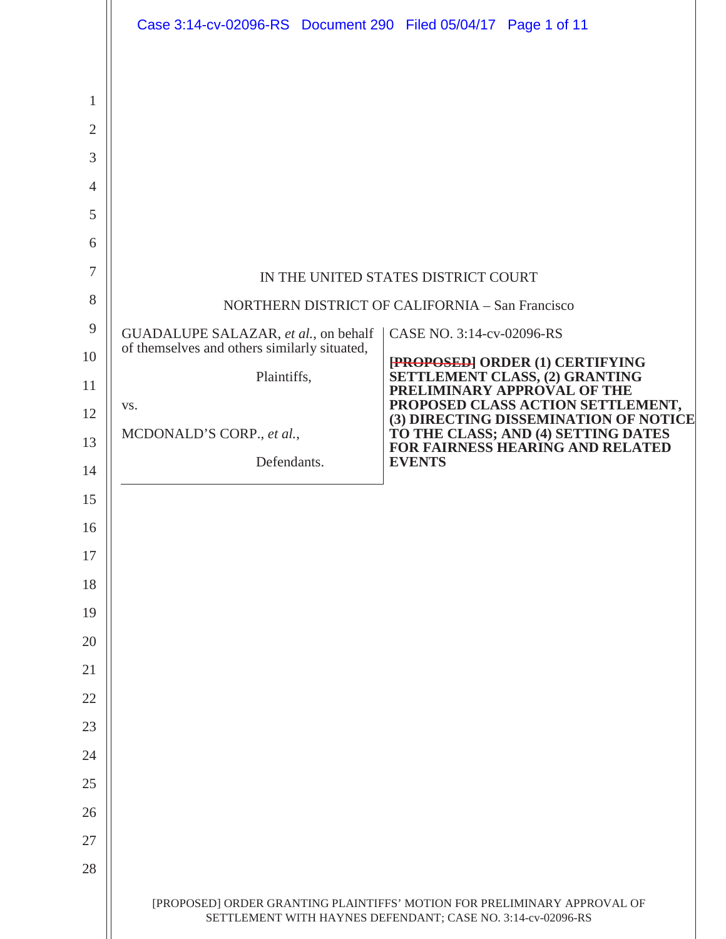|                | Case 3:14-cv-02096-RS Document 290 Filed 05/04/17 Page 1 of 11 |                                                                                                                                         |
|----------------|----------------------------------------------------------------|-----------------------------------------------------------------------------------------------------------------------------------------|
|                |                                                                |                                                                                                                                         |
| 1              |                                                                |                                                                                                                                         |
| $\overline{2}$ |                                                                |                                                                                                                                         |
| 3              |                                                                |                                                                                                                                         |
| $\overline{4}$ |                                                                |                                                                                                                                         |
| 5              |                                                                |                                                                                                                                         |
| 6              |                                                                |                                                                                                                                         |
| 7              |                                                                | IN THE UNITED STATES DISTRICT COURT                                                                                                     |
| 8              | NORTHERN DISTRICT OF CALIFORNIA - San Francisco                |                                                                                                                                         |
| $\overline{9}$ | GUADALUPE SALAZAR, et al., on behalf                           | CASE NO. 3:14-cv-02096-RS                                                                                                               |
| 10             | of themselves and others similarly situated,                   | [PROPOSED] ORDER (1) CERTIFYING<br>SETTLEMENT CLASS, (2) GRANTING                                                                       |
| 11             | Plaintiffs,<br>VS.                                             | PRELIMINARY APPROVAL OF THE<br>PROPOSED CLASS ACTION SETTLEMENT,                                                                        |
| 12             | MCDONALD'S CORP., et al.,                                      | (3) DIRECTING DISSEMINATION OF NOTICE<br>TO THE CLASS; AND (4) SETTING DATES                                                            |
| 13             | Defendants.                                                    | FOR FAIRNESS HEARING AND RELATED<br><b>EVENTS</b>                                                                                       |
| 14             |                                                                |                                                                                                                                         |
| 15             |                                                                |                                                                                                                                         |
| 16<br>17       |                                                                |                                                                                                                                         |
| 18             |                                                                |                                                                                                                                         |
| 19             |                                                                |                                                                                                                                         |
| 20             |                                                                |                                                                                                                                         |
| 21             |                                                                |                                                                                                                                         |
| 22             |                                                                |                                                                                                                                         |
| 23             |                                                                |                                                                                                                                         |
| 24             |                                                                |                                                                                                                                         |
| 25             |                                                                |                                                                                                                                         |
| 26             |                                                                |                                                                                                                                         |
| 27             |                                                                |                                                                                                                                         |
| 28             |                                                                |                                                                                                                                         |
|                |                                                                | [PROPOSED] ORDER GRANTING PLAINTIFFS' MOTION FOR PRELIMINARY APPROVAL OF<br>SETTLEMENT WITH HAYNES DEFENDANT; CASE NO. 3:14-cv-02096-RS |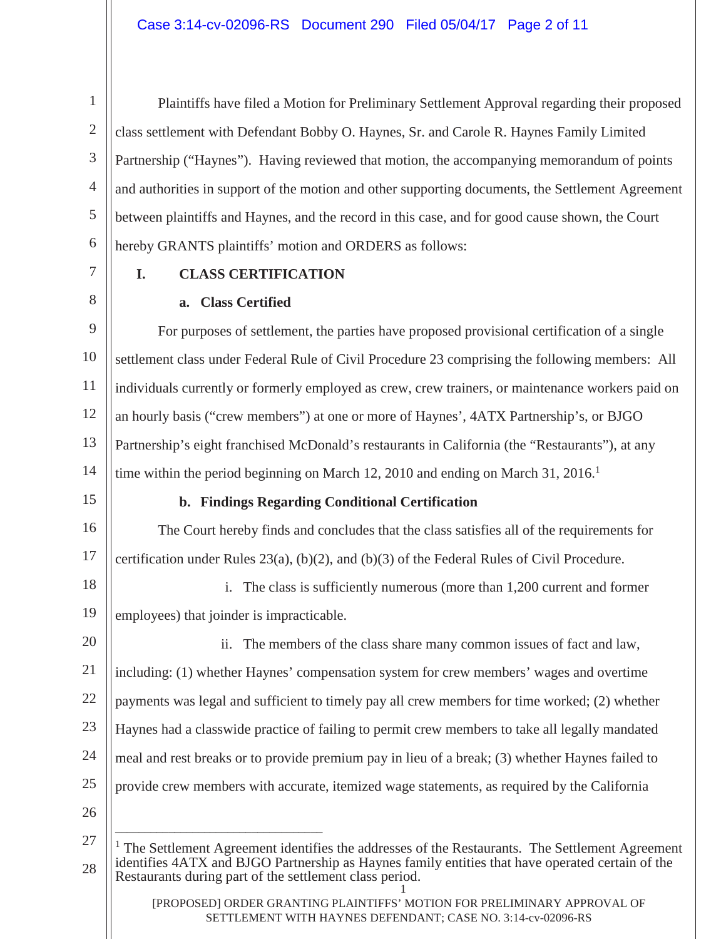1 2 3 4 5 6 Plaintiffs have filed a Motion for Preliminary Settlement Approval regarding their proposed class settlement with Defendant Bobby O. Haynes, Sr. and Carole R. Haynes Family Limited Partnership ("Haynes"). Having reviewed that motion, the accompanying memorandum of points and authorities in support of the motion and other supporting documents, the Settlement Agreement between plaintiffs and Haynes, and the record in this case, and for good cause shown, the Court hereby GRANTS plaintiffs' motion and ORDERS as follows:

7

8

# **I. CLASS CERTIFICATION**

## **a. Class Certified**

\_\_\_\_\_\_\_\_\_\_\_\_\_\_\_\_\_\_\_\_\_\_\_\_\_\_\_\_\_\_\_\_\_\_\_

9 10 11 12 13 14 For purposes of settlement, the parties have proposed provisional certification of a single settlement class under Federal Rule of Civil Procedure 23 comprising the following members: All individuals currently or formerly employed as crew, crew trainers, or maintenance workers paid on an hourly basis ("crew members") at one or more of Haynes', 4ATX Partnership's, or BJGO Partnership's eight franchised McDonald's restaurants in California (the "Restaurants"), at any time within the period beginning on March 12, 2010 and ending on March 31,  $2016<sup>1</sup>$ 

15

## **b. Findings Regarding Conditional Certification**

16 17 The Court hereby finds and concludes that the class satisfies all of the requirements for certification under Rules 23(a), (b)(2), and (b)(3) of the Federal Rules of Civil Procedure.

18 19 i. The class is sufficiently numerous (more than 1,200 current and former employees) that joinder is impracticable.

20 21 22 23 24 25 26 ii. The members of the class share many common issues of fact and law, including: (1) whether Haynes' compensation system for crew members' wages and overtime payments was legal and sufficient to timely pay all crew members for time worked; (2) whether Haynes had a classwide practice of failing to permit crew members to take all legally mandated meal and rest breaks or to provide premium pay in lieu of a break; (3) whether Haynes failed to provide crew members with accurate, itemized wage statements, as required by the California

<sup>1</sup> 27 28  $<sup>1</sup>$  The Settlement Agreement identifies the addresses of the Restaurants. The Settlement Agreement</sup> identifies 4ATX and BJGO Partnership as Haynes family entities that have operated certain of the Restaurants during part of the settlement class period.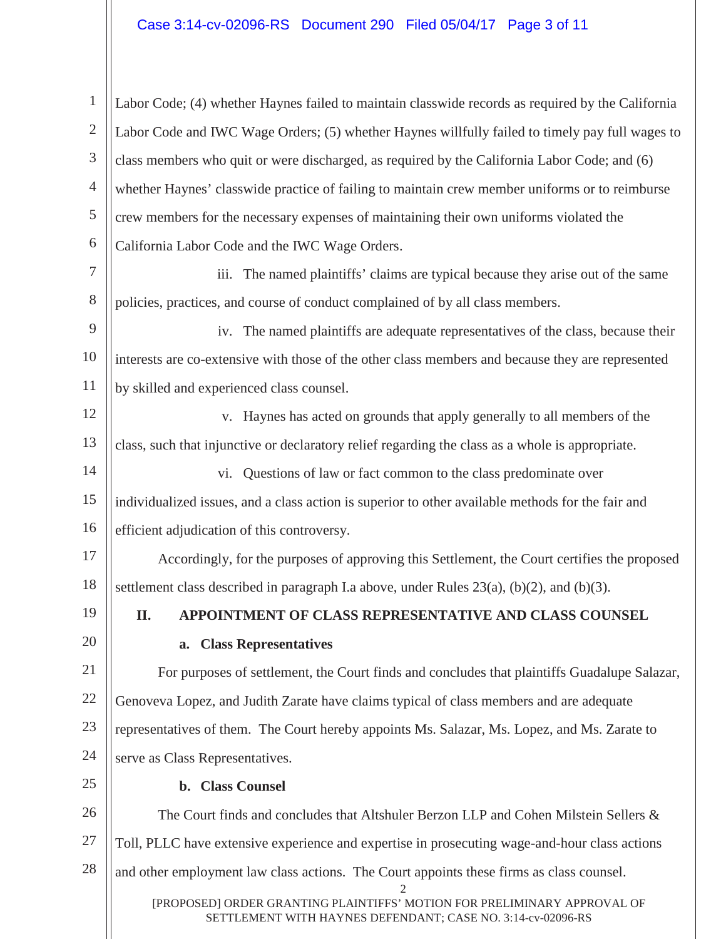2 1 2 3 4 5 6 7 8 9 10 11 12 13 14 15 16 17 18 19 20 21 22 23 24 25 26 27 28 Labor Code; (4) whether Haynes failed to maintain classwide records as required by the California Labor Code and IWC Wage Orders; (5) whether Haynes willfully failed to timely pay full wages to class members who quit or were discharged, as required by the California Labor Code; and (6) whether Haynes' classwide practice of failing to maintain crew member uniforms or to reimburse crew members for the necessary expenses of maintaining their own uniforms violated the California Labor Code and the IWC Wage Orders. iii. The named plaintiffs' claims are typical because they arise out of the same policies, practices, and course of conduct complained of by all class members. iv. The named plaintiffs are adequate representatives of the class, because their interests are co-extensive with those of the other class members and because they are represented by skilled and experienced class counsel. v. Haynes has acted on grounds that apply generally to all members of the class, such that injunctive or declaratory relief regarding the class as a whole is appropriate. vi. Questions of law or fact common to the class predominate over individualized issues, and a class action is superior to other available methods for the fair and efficient adjudication of this controversy. Accordingly, for the purposes of approving this Settlement, the Court certifies the proposed settlement class described in paragraph I.a above, under Rules  $23(a)$ ,  $(b)(2)$ , and  $(b)(3)$ . **II. APPOINTMENT OF CLASS REPRESENTATIVE AND CLASS COUNSEL a. Class Representatives** For purposes of settlement, the Court finds and concludes that plaintiffs Guadalupe Salazar, Genoveva Lopez, and Judith Zarate have claims typical of class members and are adequate representatives of them. The Court hereby appoints Ms. Salazar, Ms. Lopez, and Ms. Zarate to serve as Class Representatives. **b. Class Counsel** The Court finds and concludes that Altshuler Berzon LLP and Cohen Milstein Sellers & Toll, PLLC have extensive experience and expertise in prosecuting wage-and-hour class actions and other employment law class actions. The Court appoints these firms as class counsel.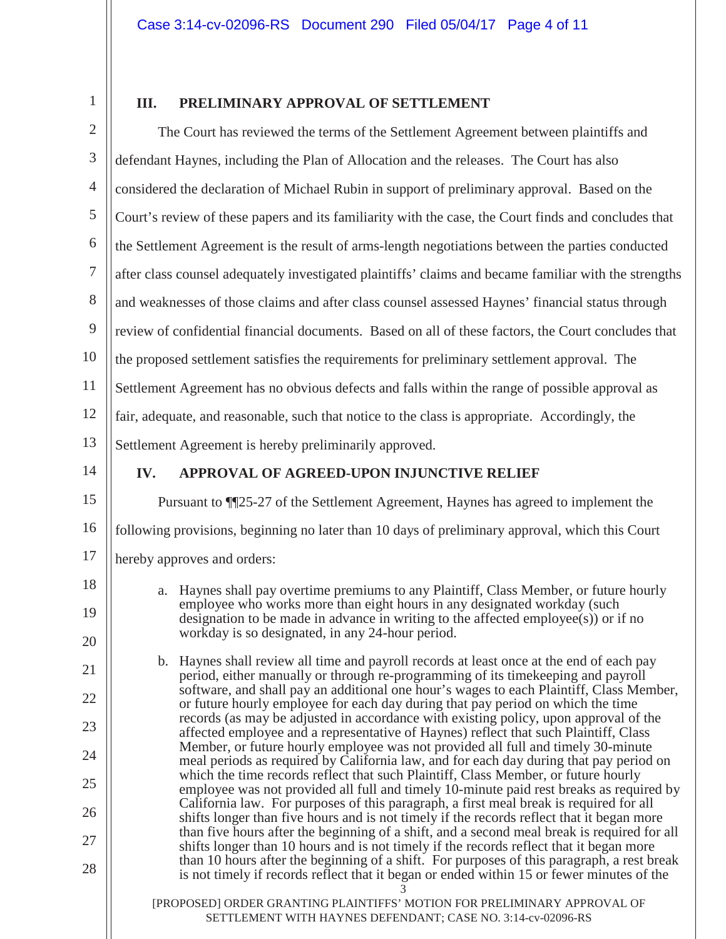1

26

27

28

### **III. PRELIMINARY APPROVAL OF SETTLEMENT**

2 3 4 5 6 7 8 9 10 11 12 13 14 15 16 17 18 19 20 21 22 23 24 25 The Court has reviewed the terms of the Settlement Agreement between plaintiffs and defendant Haynes, including the Plan of Allocation and the releases. The Court has also considered the declaration of Michael Rubin in support of preliminary approval. Based on the Court's review of these papers and its familiarity with the case, the Court finds and concludes that the Settlement Agreement is the result of arms-length negotiations between the parties conducted after class counsel adequately investigated plaintiffs' claims and became familiar with the strengths and weaknesses of those claims and after class counsel assessed Haynes' financial status through review of confidential financial documents. Based on all of these factors, the Court concludes that the proposed settlement satisfies the requirements for preliminary settlement approval. The Settlement Agreement has no obvious defects and falls within the range of possible approval as fair, adequate, and reasonable, such that notice to the class is appropriate. Accordingly, the Settlement Agreement is hereby preliminarily approved. **IV. APPROVAL OF AGREED-UPON INJUNCTIVE RELIEF** Pursuant to ¶¶25-27 of the Settlement Agreement, Haynes has agreed to implement the following provisions, beginning no later than 10 days of preliminary approval, which this Court hereby approves and orders: a. Haynes shall pay overtime premiums to any Plaintiff, Class Member, or future hourly employee who works more than eight hours in any designated workday (such designation to be made in advance in writing to the affected employee(s)) or if no workday is so designated, in any 24-hour period. b. Haynes shall review all time and payroll records at least once at the end of each pay period, either manually or through re-programming of its timekeeping and payroll software, and shall pay an additional one hour's wages to each Plaintiff, Class Member, or future hourly employee for each day during that pay period on which the time records (as may be adjusted in accordance with existing policy, upon approval of the affected employee and a representative of Haynes) reflect that such Plaintiff, Class Member, or future hourly employee was not provided all full and timely 30-minute meal periods as required by California law, and for each day during that pay period on which the time records reflect that such Plaintiff, Class Member, or future hourly employee was not provided all full and timely 10-minute paid rest breaks as required by

3 California law. For purposes of this paragraph, a first meal break is required for all shifts longer than five hours and is not timely if the records reflect that it began more than five hours after the beginning of a shift, and a second meal break is required for all shifts longer than 10 hours and is not timely if the records reflect that it began more than 10 hours after the beginning of a shift. For purposes of this paragraph, a rest break is not timely if records reflect that it began or ended within 15 or fewer minutes of the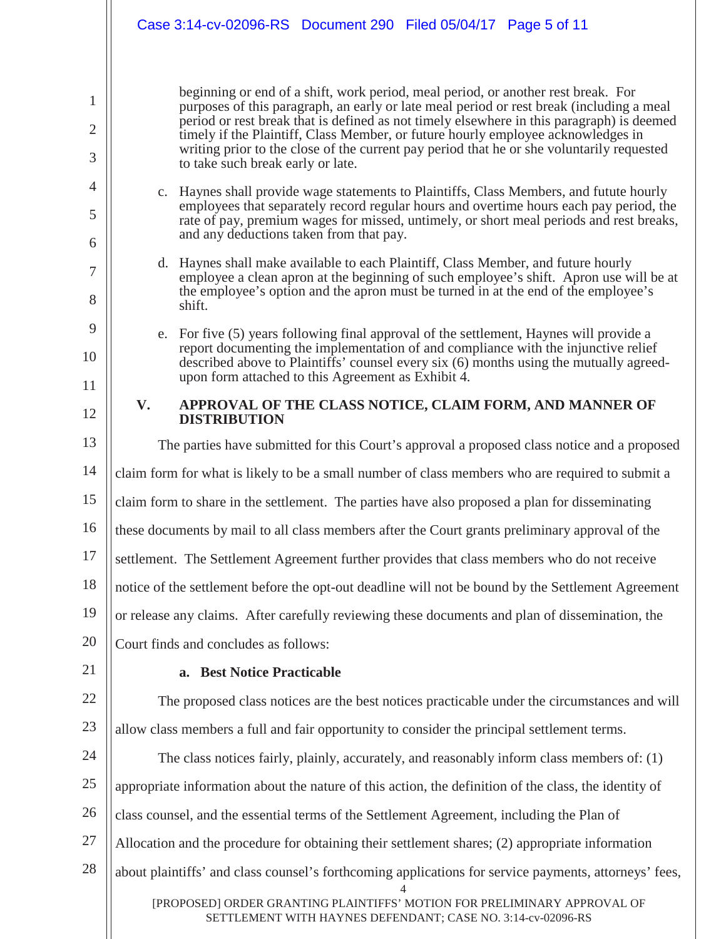## Case 3:14-cv-02096-RS Document 290 Filed 05/04/17 Page 5 of 11

1

2

3

4

5

6

7

8

9

10

11

12

beginning or end of a shift, work period, meal period, or another rest break. For purposes of this paragraph, an early or late meal period or rest break (including a meal period or rest break that is defined as not timely elsewhere in this paragraph) is deemed timely if the Plaintiff, Class Member, or future hourly employee acknowledges in writing prior to the close of the current pay period that he or she voluntarily requested to take such break early or late.

- c. Haynes shall provide wage statements to Plaintiffs, Class Members, and futute hourly employees that separately record regular hours and overtime hours each pay period, the rate of pay, premium wages for missed, untimely, or short meal periods and rest breaks, and any deductions taken from that pay.
- d. Haynes shall make available to each Plaintiff, Class Member, and future hourly employee a clean apron at the beginning of such employee's shift. Apron use will be at the employee's option and the apron must be turned in at the end of the employee's shift.
- e. For five (5) years following final approval of the settlement, Haynes will provide a report documenting the implementation of and compliance with the injunctive relief described above to Plaintiffs' counsel every six (6) months using the mutually agreedupon form attached to this Agreement as Exhibit 4.

### **V. APPROVAL OF THE CLASS NOTICE, CLAIM FORM, AND MANNER OF DISTRIBUTION**

13 14 15 16 17 18 19 20 21 The parties have submitted for this Court's approval a proposed class notice and a proposed claim form for what is likely to be a small number of class members who are required to submit a claim form to share in the settlement. The parties have also proposed a plan for disseminating these documents by mail to all class members after the Court grants preliminary approval of the settlement. The Settlement Agreement further provides that class members who do not receive notice of the settlement before the opt-out deadline will not be bound by the Settlement Agreement or release any claims. After carefully reviewing these documents and plan of dissemination, the Court finds and concludes as follows: **a. Best Notice Practicable**

22 23 The proposed class notices are the best notices practicable under the circumstances and will allow class members a full and fair opportunity to consider the principal settlement terms.

4 [PROPOSED] ORDER GRANTING PLAINTIFFS' MOTION FOR PRELIMINARY APPROVAL OF SETTLEMENT WITH HAYNES DEFENDANT; CASE NO. 3:14-cv-02096-RS 24 25 26 27 28 The class notices fairly, plainly, accurately, and reasonably inform class members of: (1) appropriate information about the nature of this action, the definition of the class, the identity of class counsel, and the essential terms of the Settlement Agreement, including the Plan of Allocation and the procedure for obtaining their settlement shares; (2) appropriate information about plaintiffs' and class counsel's forthcoming applications for service payments, attorneys' fees,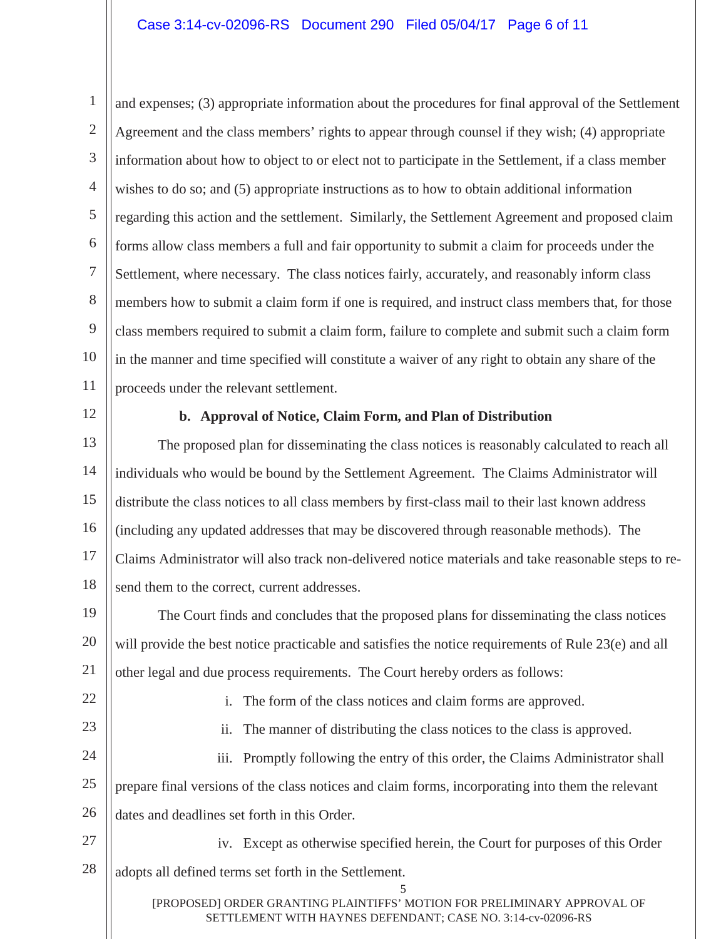1 2 3 4 5 6 7 8 9 10 11 and expenses; (3) appropriate information about the procedures for final approval of the Settlement Agreement and the class members' rights to appear through counsel if they wish; (4) appropriate information about how to object to or elect not to participate in the Settlement, if a class member wishes to do so; and (5) appropriate instructions as to how to obtain additional information regarding this action and the settlement. Similarly, the Settlement Agreement and proposed claim forms allow class members a full and fair opportunity to submit a claim for proceeds under the Settlement, where necessary. The class notices fairly, accurately, and reasonably inform class members how to submit a claim form if one is required, and instruct class members that, for those class members required to submit a claim form, failure to complete and submit such a claim form in the manner and time specified will constitute a waiver of any right to obtain any share of the proceeds under the relevant settlement.

12

#### **b. Approval of Notice, Claim Form, and Plan of Distribution**

13 14 15 16 17 18 The proposed plan for disseminating the class notices is reasonably calculated to reach all individuals who would be bound by the Settlement Agreement. The Claims Administrator will distribute the class notices to all class members by first-class mail to their last known address (including any updated addresses that may be discovered through reasonable methods). The Claims Administrator will also track non-delivered notice materials and take reasonable steps to resend them to the correct, current addresses.

19 20 21 The Court finds and concludes that the proposed plans for disseminating the class notices will provide the best notice practicable and satisfies the notice requirements of Rule 23(e) and all other legal and due process requirements. The Court hereby orders as follows:

22 23

i. The form of the class notices and claim forms are approved.

ii. The manner of distributing the class notices to the class is approved.

24 25 26 iii. Promptly following the entry of this order, the Claims Administrator shall prepare final versions of the class notices and claim forms, incorporating into them the relevant dates and deadlines set forth in this Order.

27 28 iv. Except as otherwise specified herein, the Court for purposes of this Order adopts all defined terms set forth in the Settlement.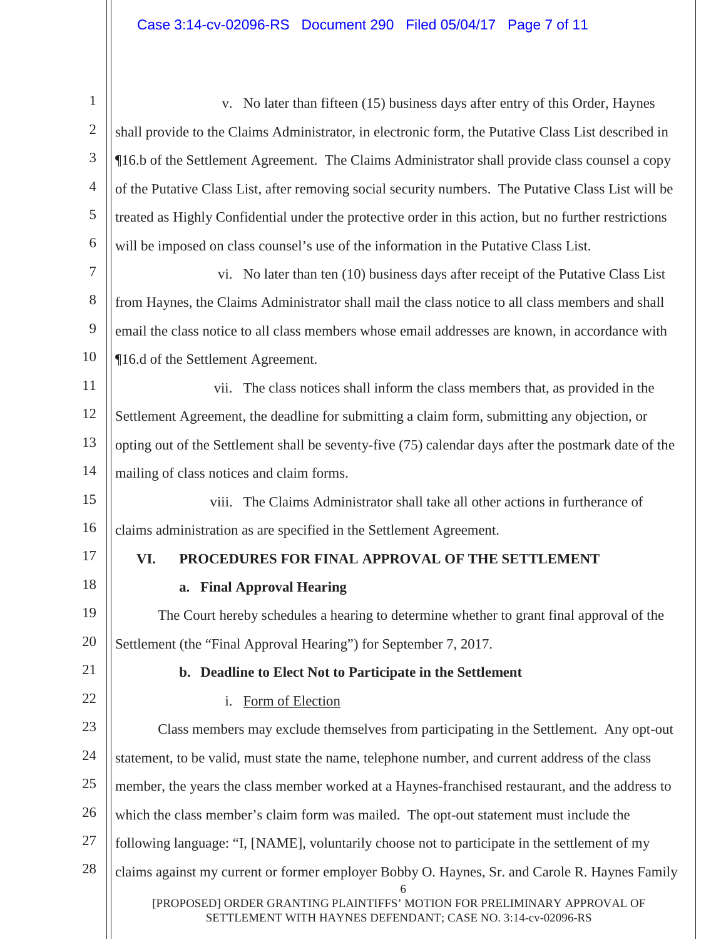| 1              | v. No later than fifteen (15) business days after entry of this Order, Haynes                         |
|----------------|-------------------------------------------------------------------------------------------------------|
| $\overline{2}$ | shall provide to the Claims Administrator, in electronic form, the Putative Class List described in   |
| 3              | ¶16.b of the Settlement Agreement. The Claims Administrator shall provide class counsel a copy        |
| $\overline{4}$ | of the Putative Class List, after removing social security numbers. The Putative Class List will be   |
| 5              | treated as Highly Confidential under the protective order in this action, but no further restrictions |
| 6              | will be imposed on class counsel's use of the information in the Putative Class List.                 |
| $\tau$         | vi. No later than ten (10) business days after receipt of the Putative Class List                     |
| $8\phantom{1}$ | from Haynes, the Claims Administrator shall mail the class notice to all class members and shall      |
| 9              | email the class notice to all class members whose email addresses are known, in accordance with       |
| 10             | ¶16.d of the Settlement Agreement.                                                                    |
| 11             | vii. The class notices shall inform the class members that, as provided in the                        |
| 12             | Settlement Agreement, the deadline for submitting a claim form, submitting any objection, or          |
| 13             | opting out of the Settlement shall be seventy-five (75) calendar days after the postmark date of the  |
| 14             | mailing of class notices and claim forms.                                                             |
| 15             | viii. The Claims Administrator shall take all other actions in furtherance of                         |
| 16             | claims administration as are specified in the Settlement Agreement.                                   |
| 17             | VI.<br>PROCEDURES FOR FINAL APPROVAL OF THE SETTLEMENT                                                |
|                |                                                                                                       |
| 18             | <b>Final Approval Hearing</b><br>a.                                                                   |
| 19             | The Court hereby schedules a hearing to determine whether to grant final approval of the              |
| 20             | Settlement (the "Final Approval Hearing") for September 7, 2017.                                      |
| 21             | b. Deadline to Elect Not to Participate in the Settlement                                             |
| 22             | Form of Election<br>$\mathbf{i}$ .                                                                    |
| 23             | Class members may exclude themselves from participating in the Settlement. Any opt-out                |
| 24             | statement, to be valid, must state the name, telephone number, and current address of the class       |
| 25             | member, the years the class member worked at a Haynes-franchised restaurant, and the address to       |
| 26             | which the class member's claim form was mailed. The opt-out statement must include the                |
| 27             | following language: "I, [NAME], voluntarily choose not to participate in the settlement of my         |
| 28             | claims against my current or former employer Bobby O. Haynes, Sr. and Carole R. Haynes Family         |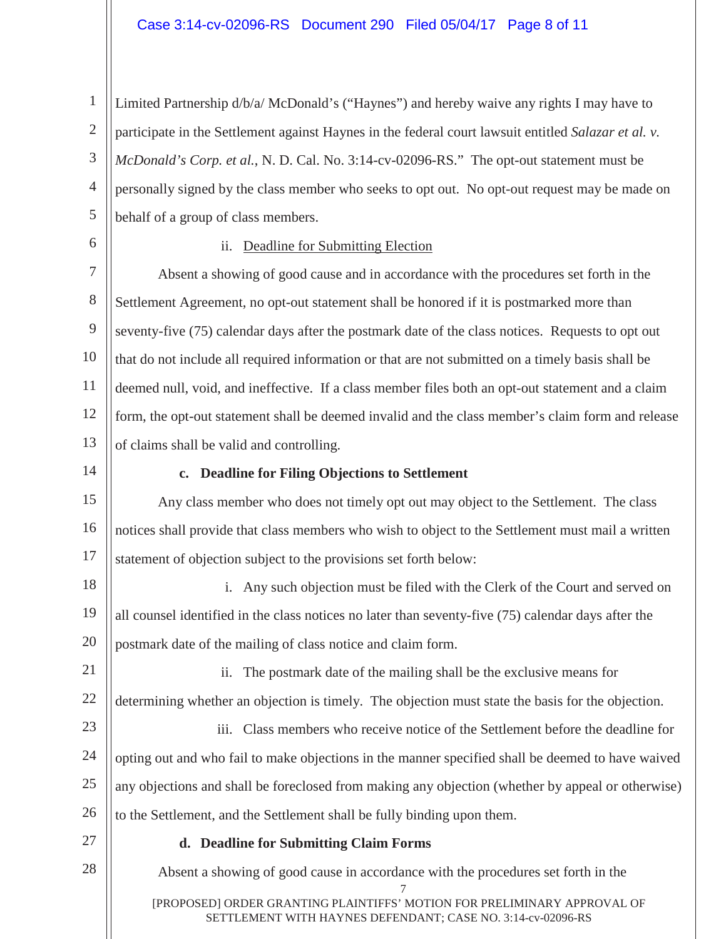1 2 3 4 5 Limited Partnership d/b/a/ McDonald's ("Haynes") and hereby waive any rights I may have to participate in the Settlement against Haynes in the federal court lawsuit entitled *Salazar et al. v. McDonald's Corp. et al.*, N. D. Cal. No. 3:14-cv-02096-RS." The opt-out statement must be personally signed by the class member who seeks to opt out. No opt-out request may be made on behalf of a group of class members.

6

#### ii. Deadline for Submitting Election

7 8 9 10 11 12 13 Absent a showing of good cause and in accordance with the procedures set forth in the Settlement Agreement, no opt-out statement shall be honored if it is postmarked more than seventy-five (75) calendar days after the postmark date of the class notices. Requests to opt out that do not include all required information or that are not submitted on a timely basis shall be deemed null, void, and ineffective. If a class member files both an opt-out statement and a claim form, the opt-out statement shall be deemed invalid and the class member's claim form and release of claims shall be valid and controlling.

14

#### **c. Deadline for Filing Objections to Settlement**

15 16 17 Any class member who does not timely opt out may object to the Settlement. The class notices shall provide that class members who wish to object to the Settlement must mail a written statement of objection subject to the provisions set forth below:

18 19 20 i. Any such objection must be filed with the Clerk of the Court and served on all counsel identified in the class notices no later than seventy-five (75) calendar days after the postmark date of the mailing of class notice and claim form.

21 22 ii. The postmark date of the mailing shall be the exclusive means for determining whether an objection is timely. The objection must state the basis for the objection.

23 24 25 26 iii. Class members who receive notice of the Settlement before the deadline for opting out and who fail to make objections in the manner specified shall be deemed to have waived any objections and shall be foreclosed from making any objection (whether by appeal or otherwise) to the Settlement, and the Settlement shall be fully binding upon them.

27

#### **d. Deadline for Submitting Claim Forms**

7 [PROPOSED] ORDER GRANTING PLAINTIFFS' MOTION FOR PRELIMINARY APPROVAL OF SETTLEMENT WITH HAYNES DEFENDANT; CASE NO. 3:14-cv-02096-RS 28 Absent a showing of good cause in accordance with the procedures set forth in the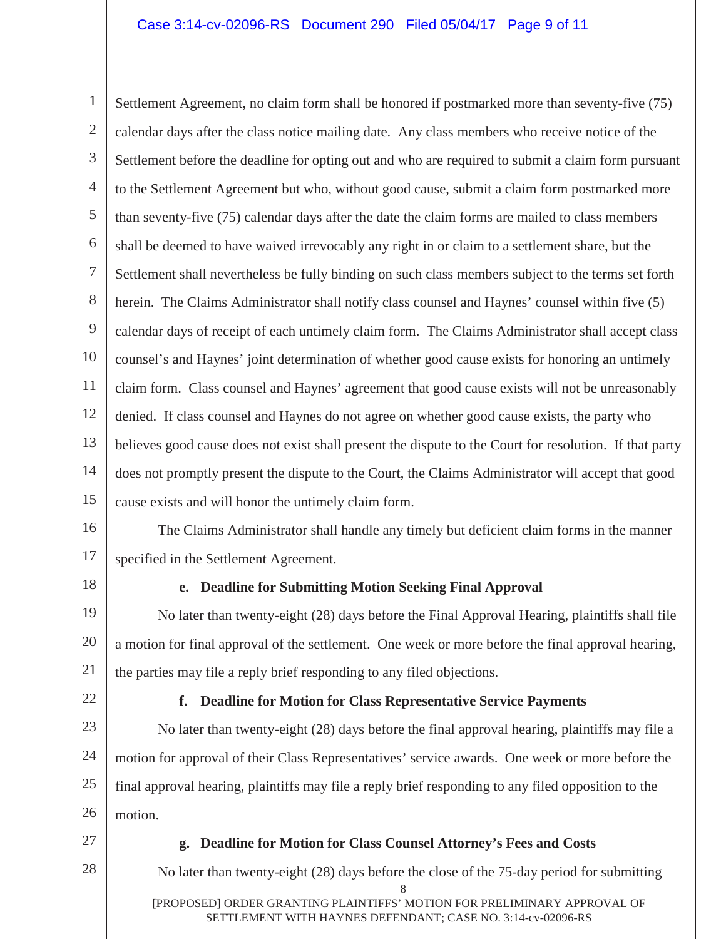1 2 3 4 5 6 7 8 9 10 11 12 13 14 15 Settlement Agreement, no claim form shall be honored if postmarked more than seventy-five (75) calendar days after the class notice mailing date. Any class members who receive notice of the Settlement before the deadline for opting out and who are required to submit a claim form pursuant to the Settlement Agreement but who, without good cause, submit a claim form postmarked more than seventy-five (75) calendar days after the date the claim forms are mailed to class members shall be deemed to have waived irrevocably any right in or claim to a settlement share, but the Settlement shall nevertheless be fully binding on such class members subject to the terms set forth herein. The Claims Administrator shall notify class counsel and Haynes' counsel within five (5) calendar days of receipt of each untimely claim form. The Claims Administrator shall accept class counsel's and Haynes' joint determination of whether good cause exists for honoring an untimely claim form. Class counsel and Haynes' agreement that good cause exists will not be unreasonably denied. If class counsel and Haynes do not agree on whether good cause exists, the party who believes good cause does not exist shall present the dispute to the Court for resolution. If that party does not promptly present the dispute to the Court, the Claims Administrator will accept that good cause exists and will honor the untimely claim form.

16 17 The Claims Administrator shall handle any timely but deficient claim forms in the manner specified in the Settlement Agreement.

18

## **e. Deadline for Submitting Motion Seeking Final Approval**

19 20 21 No later than twenty-eight (28) days before the Final Approval Hearing, plaintiffs shall file a motion for final approval of the settlement. One week or more before the final approval hearing, the parties may file a reply brief responding to any filed objections.

22

## **f. Deadline for Motion for Class Representative Service Payments**

23 24 25 26 No later than twenty-eight (28) days before the final approval hearing, plaintiffs may file a motion for approval of their Class Representatives' service awards. One week or more before the final approval hearing, plaintiffs may file a reply brief responding to any filed opposition to the motion.

27

28

#### **g. Deadline for Motion for Class Counsel Attorney's Fees and Costs**

No later than twenty-eight (28) days before the close of the 75-day period for submitting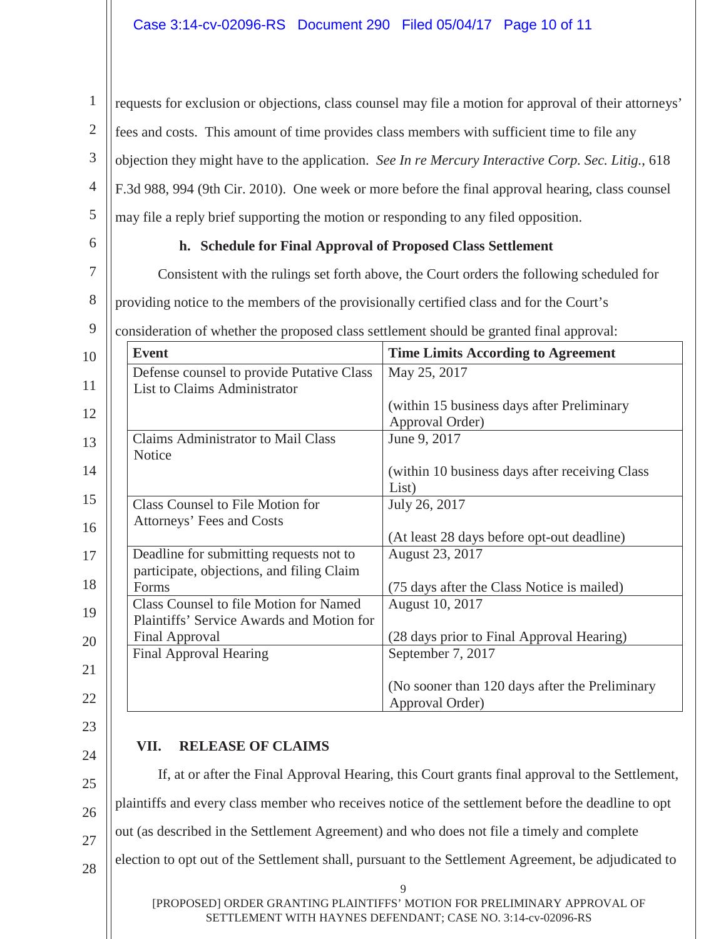1 2 3 4 5 6 7 8 9 10 11 12 13 14 15 16 17 18 19 20 21 22 requests for exclusion or objections, class counsel may file a motion for approval of their attorneys' fees and costs. This amount of time provides class members with sufficient time to file any objection they might have to the application. *See In re Mercury Interactive Corp. Sec. Litig.*, 618 F.3d 988, 994 (9th Cir. 2010). One week or more before the final approval hearing, class counsel may file a reply brief supporting the motion or responding to any filed opposition. **h. Schedule for Final Approval of Proposed Class Settlement** Consistent with the rulings set forth above, the Court orders the following scheduled for providing notice to the members of the provisionally certified class and for the Court's consideration of whether the proposed class settlement should be granted final approval: **Event** Time Limits According to Agreement Defense counsel to provide Putative Class List to Claims Administrator May 25, 2017 (within 15 business days after Preliminary Approval Order) Claims Administrator to Mail Class **Notice** June 9, 2017 (within 10 business days after receiving Class List) Class Counsel to File Motion for Attorneys' Fees and Costs July 26, 2017 (At least 28 days before opt-out deadline) Deadline for submitting requests not to participate, objections, and filing Claim Forms August 23, 2017 (75 days after the Class Notice is mailed) Class Counsel to file Motion for Named Plaintiffs' Service Awards and Motion for Final Approval August 10, 2017 (28 days prior to Final Approval Hearing) Final Approval Hearing September 7, 2017 (No sooner than 120 days after the Preliminary Approval Order)

- 23
- 24

25

26

27

28

# **VII. RELEASE OF CLAIMS**

If, at or after the Final Approval Hearing, this Court grants final approval to the Settlement, plaintiffs and every class member who receives notice of the settlement before the deadline to opt out (as described in the Settlement Agreement) and who does not file a timely and complete election to opt out of the Settlement shall, pursuant to the Settlement Agreement, be adjudicated to

[PROPOSED] ORDER GRANTING PLAINTIFFS' MOTION FOR PRELIMINARY APPROVAL OF SETTLEMENT WITH HAYNES DEFENDANT; CASE NO. 3:14-cv-02096-RS

9